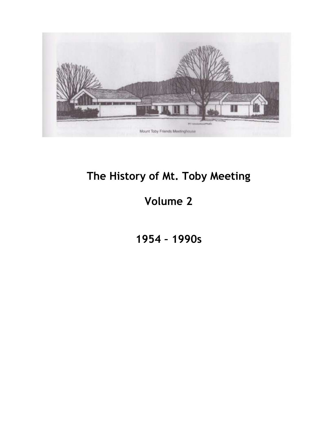

# **The History of Mt. Toby Meeting**

# **Volume 2**

**1954 – 1990s**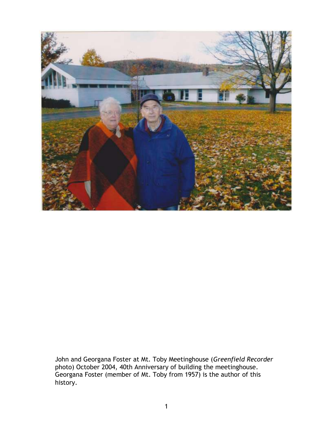

John and Georgana Foster at Mt. Toby Meetinghouse (*Greenfield Recorder* photo) October 2004, 40th Anniversary of building the meetinghouse. Georgana Foster (member of Mt. Toby from 1957) is the author of this history.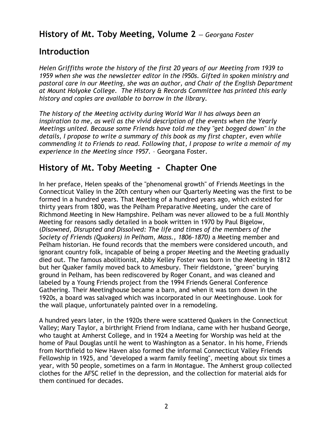### **History of Mt. Toby Meeting, Volume 2** *— Georgana Foster*

### **Introduction**

*Helen Griffiths wrote the history of the first 20 years of our Meeting from 1939 to 1959 when she was the newsletter editor in the l950s. Gifted in spoken ministry and pastoral care in our Meeting, she was an author, and Chair of the English Department at Mount Holyoke College. The History & Records Committee has printed this early history and copies are available to borrow in the library.* 

*The history of the Meeting activity during World War II has always been an inspiration to me, as well as the vivid description of the events when the Yearly Meetings united. Because some Friends have told me they "get bogged down" in the details, I propose to write a summary of this book as my first chapter, even while commending it to Friends to read. Following that, I propose to write a memoir of my experience in the Meeting since 1957.* – Georgana Foster.

# **History of Mt. Toby Meeting - Chapter One**

In her preface, Helen speaks of the "phenomenal growth" of Friends Meetings in the Connecticut Valley in the 20th century when our Quarterly Meeting was the first to be formed in a hundred years. That Meeting of a hundred years ago, which existed for thirty years from 1800, was the Pelham Preparative Meeting, under the care of Richmond Meeting in New Hampshire. Pelham was never allowed to be a full Monthly Meeting for reasons sadly detailed in a book written in 1970 by Paul Bigelow, (*Disowned, Disrupted and Dissolved: The life and times of the members of the Society of Friends (Quakers) in Pelham, Mass., 1806-1870)* a Meeting member and Pelham historian. He found records that the members were considered uncouth, and ignorant country folk, incapable of being a proper Meeting and the Meeting gradually died out. The famous abolitionist, Abby Kelley Foster was born in the Meeting in 1812 but her Quaker family moved back to Amesbury. Their fieldstone, "green" burying ground in Pelham, has been rediscovered by Roger Conant, and was cleaned and labeled by a Young Friends project from the 1994 Friends General Conference Gathering. Their Meetinghouse became a barn, and when it was torn down in the 1920s, a board was salvaged which was incorporated in our Meetinghouse. Look for the wall plaque, unfortunately painted over in a remodeling.

A hundred years later, in the 1920s there were scattered Quakers in the Connecticut Valley; Mary Taylor, a birthright Friend from Indiana, came with her husband George, who taught at Amherst College, and in 1924 a Meeting for Worship was held at the home of Paul Douglas until he went to Washington as a Senator. In his home, Friends from Northfield to New Haven also formed the informal Connecticut Valley Friends Fellowship in 1925, and "developed a warm family feeling", meeting about six times a year, with 50 people, sometimes on a farm in Montague. The Amherst group collected clothes for the AFSC relief in the depression, and the collection for material aids for them continued for decades.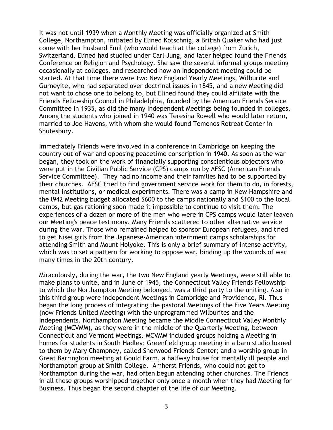It was not until 1939 when a Monthly Meeting was officially organized at Smith College, Northampton, initiated by Elined Kotschnig, a British Quaker who had just come with her husband Emil (who would teach at the college) from Zurich, Switzerland. Elined had studied under Carl Jung, and later helped found the Friends Conference on Religion and Psychology. She saw the several informal groups meeting occasionally at colleges, and researched how an Independent meeting could be started. At that time there were two New England Yearly Meetings, Wilburite and Gurneyite, who had separated over doctrinal issues in 1845, and a new Meeting did not want to chose one to belong to, but Elined found they could affiliate with the Friends Fellowship Council in Philadelphia, founded by the American Friends Service Committee in 1935, as did the many Independent Meetings being founded in colleges. Among the students who joined in 1940 was Teresina Rowell who would later return, married to Joe Havens, with whom she would found Temenos Retreat Center in Shutesbury.

Immediately Friends were involved in a conference in Cambridge on keeping the country out of war and opposing peacetime conscription in 1940. As soon as the war began, they took on the work of financially supporting conscientious objectors who were put in the Civilian Public Service (CPS) camps run by AFSC (American Friends Service Committee). They had no income and their families had to be supported by their churches. AFSC tried to find government service work for them to do, in forests, mental institutions, or medical experiments. There was a camp in New Hampshire and the l942 Meeting budget allocated \$600 to the camps nationally and \$100 to the local camps, but gas rationing soon made it impossible to continue to visit them. The experiences of a dozen or more of the men who were in CPS camps would later leaven our Meeting's peace testimony. Many Friends scattered to other alternative service during the war. Those who remained helped to sponsor European refugees, and tried to get Nisei girls from the Japanese-American internment camps scholarships for attending Smith and Mount Holyoke. This is only a brief summary of intense activity, which was to set a pattern for working to oppose war, binding up the wounds of war many times in the 20th century.

Miraculously, during the war, the two New England yearly Meetings, were still able to make plans to unite, and in June of 1945, the Connecticut Valley Friends Fellowship to which the Northampton Meeting belonged, was a third party to the uniting. Also in this third group were independent Meetings in Cambridge and Providence, RI. Thus began the long process of integrating the pastoral Meetings of the Five Years Meeting (now Friends United Meeting) with the unprogrammed Wilburites and the Independents. Northampton Meeting became the Middle Connecticut Valley Monthly Meeting (MCVMM), as they were in the middle of the Quarterly Meeting, between Connecticut and Vermont Meetings. MCVMM included groups holding a Meeting in homes for students in South Hadley; Greenfield group meeting in a barn studio loaned to them by Mary Champney, called Sherwood Friends Center; and a worship group in Great Barrington meeting at Gould Farm, a halfway house for mentally ill people and Northampton group at Smith College. Amherst Friends, who could not get to Northampton during the war, had often begun attending other churches. The Friends in all these groups worshipped together only once a month when they had Meeting for Business. Thus began the second chapter of the life of our Meeting.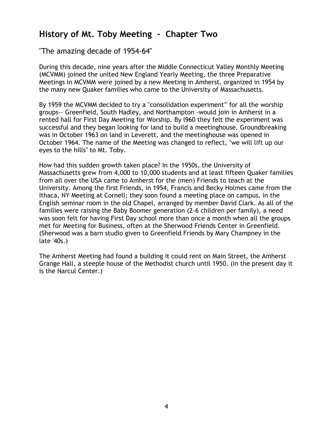## **History of Mt. Toby Meeting - Chapter Two**

"The amazing decade of 1954-64"

During this decade, nine years after the Middle Connecticut Valley Monthly Meeting (MCVMM) joined the united New England Yearly Meeting, the three Preparative Meetings in MCVMM were joined by a new Meeting in Amherst, organized in 1954 by the many new Quaker families who came to the University of Massachusetts.

By 1959 the MCVMM decided to try a "consolidation experiment'" for all the worship groups-- Greenfield, South Hadley, and Northampton -would join in Amherst in a rented hall for First Day Meeting for Worship. By l960 they felt the experiment was successful and they began looking for land to build a meetinghouse. Groundbreaking was in October 1963 on land in Leverett, and the meetinghouse was opened in October 1964. The name of the Meeting was changed to reflect, "we will lift up our eyes to the hills" to Mt. Toby.

How had this sudden growth taken place? In the 1950s, the University of Massachusetts grew from 4,000 to 10,000 students and at least fifteen Quaker families from all over the USA came to Amherst for the (men) Friends to teach at the University. Among the first Friends, in 1954, Francis and Becky Holmes came from the Ithaca, NY Meeting at Cornell; they soon found a meeting place on campus, in the English seminar room in the old Chapel, arranged by member David Clark. As all of the families were raising the Baby Boomer generation (2-6 children per family), a need was soon felt for having First Day school more than once a month when all the groups met for Meeting for Business, often at the Sherwood Friends Center in Greenfield. (Sherwood was a barn studio given to Greenfield Friends by Mary Champney in the late '40s.)

The Amherst Meeting had found a building it could rent on Main Street, the Amherst Grange Hall, a steeple house of the Methodist church until 1950. (In the present day it is the Narcul Center.)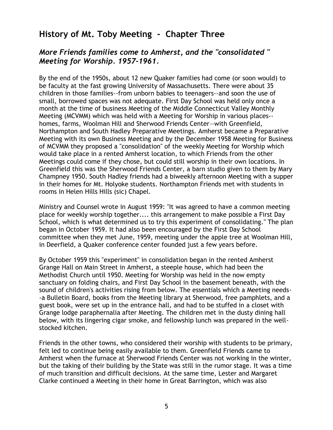### **History of Mt. Toby Meeting - Chapter Three**

### *More Friends families come to Amherst, and the "consolidated " Meeting for Worship. 1957-1961.*

By the end of the 1950s, about 12 new Quaker families had come (or soon would) to be faculty at the fast growing University of Massachusetts. There were about 35 children in those families--from unborn babies to teenagers--and soon the use of small, borrowed spaces was not adequate. First Day School was held only once a month at the time of business Meeting of the Middle Connecticut Valley Monthly Meeting (MCVMM) which was held with a Meeting for Worship in various places- homes, farms, Woolman Hill and Sherwood Friends Center—with Greenfield, Northampton and South Hadley Preparative Meetings. Amherst became a Preparative Meeting with its own Business Meeting and by the December 1958 Meeting for Business of MCVMM they proposed a "consolidation" of the weekly Meeting for Worship which would take place in a rented Amherst location, to which Friends from the other Meetings could come if they chose, but could still worship in their own locations. In Greenfield this was the Sherwood Friends Center, a barn studio given to them by Mary Champney 1950. South Hadley friends had a biweekly afternoon Meeting with a supper in their homes for Mt. Holyoke students. Northampton Friends met with students in rooms in Helen Hills Hills (sic) Chapel.

Ministry and Counsel wrote in August 1959: "It was agreed to have a common meeting place for weekly worship together.... this arrangement to make possible a First Day School, which is what determined us to try this experiment of consolidating." The plan began in October 1959. It had also been encouraged by the First Day School committee when they met June, 1959, meeting under the apple tree at Woolman Hill, in Deerfield, a Quaker conference center founded just a few years before.

By October 1959 this "experiment" in consolidation began in the rented Amherst Grange Hall on Main Street in Amherst, a steeple house, which had been the Methodist Church until 1950. Meeting for Worship was held in the now empty sanctuary on folding chairs, and First Day School in the basement beneath, with the sound of children's activities rising from below. The essentials which a Meeting needs- -a Bulletin Board, books from the Meeting library at Sherwood, free pamphlets, and a guest book, were set up in the entrance hall, and had to be stuffed in a closet with Grange lodge paraphernalia after Meeting. The children met in the dusty dining hall below, with its lingering cigar smoke, and fellowship lunch was prepared in the wellstocked kitchen.

Friends in the other towns, who considered their worship with students to be primary, felt led to continue being easily available to them. Greenfield Friends came to Amherst when the furnace at Sherwood Friends Center was not working in the winter, but the taking of their building by the State was still in the rumor stage. It was a time of much transition and difficult decisions. At the same time, Lester and Margaret Clarke continued a Meeting in their home in Great Barrington, which was also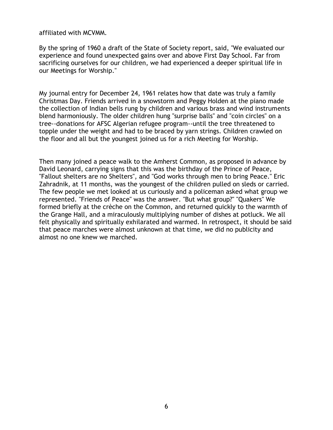affiliated with MCVMM.

By the spring of 1960 a draft of the State of Society report, said, "We evaluated our experience and found unexpected gains over and above First Day School. Far from sacrificing ourselves for our children, we had experienced a deeper spiritual life in our Meetings for Worship."

My journal entry for December 24, 1961 relates how that date was truly a family Christmas Day. Friends arrived in a snowstorm and Peggy Holden at the piano made the collection of Indian bells rung by children and various brass and wind instruments blend harmoniously. The older children hung "surprise balls" and "coin circles" on a tree--donations for AFSC Algerian refugee program--until the tree threatened to topple under the weight and had to be braced by yarn strings. Children crawled on the floor and all but the youngest joined us for a rich Meeting for Worship.

Then many joined a peace walk to the Amherst Common, as proposed in advance by David Leonard, carrying signs that this was the birthday of the Prince of Peace, "Fallout shelters are no Shelters", and "God works through men to bring Peace." Eric Zahradnik, at 11 months, was the youngest of the children pulled on sleds or carried. The few people we met looked at us curiously and a policeman asked what group we represented. "Friends of Peace" was the answer. "But what group?" "Quakers" We formed briefly at the crèche on the Common, and returned quickly to the warmth of the Grange Hall, and a miraculously multiplying number of dishes at potluck. We all felt physically and spiritually exhilarated and warmed. In retrospect, it should be said that peace marches were almost unknown at that time, we did no publicity and almost no one knew we marched.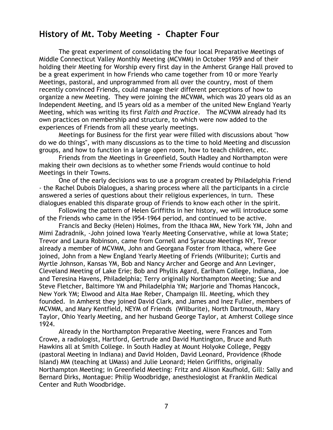### **History of Mt. Toby Meeting - Chapter Four**

The great experiment of consolidating the four local Preparative Meetings of Middle Connecticut Valley Monthly Meeting (MCVMM) in October 1959 and of their holding their Meeting for Worship every first day in the Amherst Grange Hall proved to be a great experiment in how Friends who came together from 10 or more Yearly Meetings, pastoral, and unprogrammed from all over the country, most of them recently convinced Friends, could manage their different perceptions of how to organize a new Meeting. They were joining the MCVMM, which was 20 years old as an Independent Meeting, and l5 years old as a member of the united New England Yearly Meeting, which was writing its first *Faith and Practice*. The MCVMM already had its own practices on membership and structure, to which were now added to the experiences of Friends from all these yearly meetings.

Meetings for Business for the first year were filled with discussions about "how do we do things", with many discussions as to the time to hold Meeting and discussion groups, and how to function in a large open room, how to teach children, etc.

Friends from the Meetings in Greenfield, South Hadley and Northampton were making their own decisions as to whether some Friends would continue to hold Meetings in their Towns.

One of the early decisions was to use a program created by Philadelphia Friend - the Rachel Dubois Dialogues, a sharing process where all the participants in a circle answered a series of questions about their religious experiences, in turn. These dialogues enabled this disparate group of Friends to know each other in the spirit.

Following the pattern of Helen Griffiths in her history, we will introduce some of the Friends who came in the l954-1964 period, and continued to be active.

Francis and Becky (Helen) Holmes, from the Ithaca MM, New York YM, John and Mimi Zadradnik, -John joined Iowa Yearly Meeting Conservative, while at Iowa State; Trevor and Laura Robinson, came from Cornell and Syracuse Meetings NY, Trevor already a member of MCVMM, John and Georgana Foster from Ithaca, where Gee joined, John from a New England Yearly Meeting of Friends (Wilburite); Curtis and Myrtle Johnson, Kansas YM, Bob and Nancy Archer and George and Ann Levinger, Cleveland Meeting of Lake Erie; Bob and Phyllis Agard, Earlham College, Indiana, Joe and Teresina Havens, Philadelphia; Terry originally Northampton Meeting; Sue and Steve Fletcher, Baltimore YM and Philadelphia YM; Marjorie and Thomas Hancock, New York YM; Elwood and Alta Mae Reber, Champaign Ill. Meeting, which they founded. In Amherst they joined David Clark, and James and Inez Fuller, members of MCVMM, and Mary Kentfield, NEYM of Friends (Wilburite), North Dartmouth, Mary Taylor, Ohio Yearly Meeting, and her husband George Taylor, at Amherst College since 1924.

Already in the Northampton Preparative Meeting, were Frances and Tom Crowe, a radiologist, Hartford, Gertrude and David Huntington, Bruce and Ruth Hawkins all at Smith College. In South Hadley at Mount Holyoke College, Peggy (pastoral Meeting in Indiana) and David Holden, David Leonard, Providence (Rhode Island) MM (teaching at UMass) and Julie Leonard; Helen Griffiths, originally Northampton Meeting; in Greenfield Meeting: Fritz and Alison Kaufhold, Gill: Sally and Bernard Dirks, Montague: Philip Woodbridge, anesthesiologist at Franklin Medical Center and Ruth Woodbridge.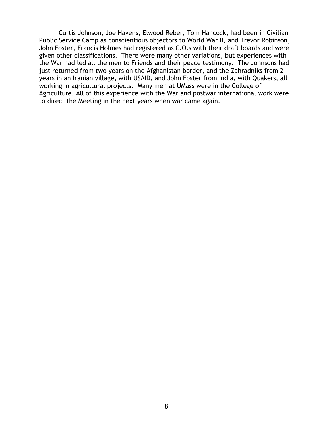Curtis Johnson, Joe Havens, Elwood Reber, Tom Hancock, had been in Civilian Public Service Camp as conscientious objectors to World War II, and Trevor Robinson, John Foster, Francis Holmes had registered as C.O.s with their draft boards and were given other classifications. There were many other variations, but experiences with the War had led all the men to Friends and their peace testimony. The Johnsons had just returned from two years on the Afghanistan border, and the Zahradniks from 2 years in an Iranian village, with USAID, and John Foster from India, with Quakers, all working in agricultural projects. Many men at UMass were in the College of Agriculture. All of this experience with the War and postwar international work were to direct the Meeting in the next years when war came again.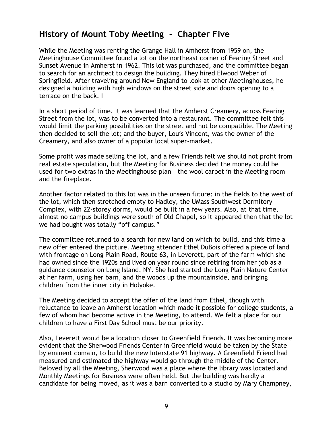### **History of Mount Toby Meeting - Chapter Five**

While the Meeting was renting the Grange Hall in Amherst from 1959 on, the Meetinghouse Committee found a lot on the northeast corner of Fearing Street and Sunset Avenue in Amherst in 1962. This lot was purchased, and the committee began to search for an architect to design the building. They hired Elwood Weber of Springfield. After traveling around New England to look at other Meetinghouses, he designed a building with high windows on the street side and doors opening to a terrace on the back. I

In a short period of time, it was learned that the Amherst Creamery, across Fearing Street from the lot, was to be converted into a restaurant. The committee felt this would limit the parking possibilities on the street and not be compatible. The Meeting then decided to sell the lot; and the buyer, Louis Vincent, was the owner of the Creamery, and also owner of a popular local super-market.

Some profit was made selling the lot, and a few Friends felt we should not profit from real estate speculation, but the Meeting for Business decided the money could be used for two extras in the Meetinghouse plan – the wool carpet in the Meeting room and the fireplace.

Another factor related to this lot was in the unseen future: in the fields to the west of the lot, which then stretched empty to Hadley, the UMass Southwest Dormitory Complex, with 22-storey dorms, would be built in a few years. Also, at that time, almost no campus buildings were south of Old Chapel, so it appeared then that the lot we had bought was totally "off campus."

The committee returned to a search for new land on which to build, and this time a new offer entered the picture. Meeting attender Ethel DuBois offered a piece of land with frontage on Long Plain Road, Route 63, in Leverett, part of the farm which she had owned since the 1920s and lived on year round since retiring from her job as a guidance counselor on Long Island, NY. She had started the Long Plain Nature Center at her farm, using her barn, and the woods up the mountainside, and bringing children from the inner city in Holyoke.

The Meeting decided to accept the offer of the land from Ethel, though with reluctance to leave an Amherst location which made it possible for college students, a few of whom had become active in the Meeting, to attend. We felt a place for our children to have a First Day School must be our priority.

Also, Leverett would be a location closer to Greenfield Friends. It was becoming more evident that the Sherwood Friends Center in Greenfield would be taken by the State by eminent domain, to build the new Interstate 91 highway. A Greenfield Friend had measured and estimated the highway would go through the middle of the Center. Beloved by all the Meeting, Sherwood was a place where the library was located and Monthly Meetings for Business were often held. But the building was hardly a candidate for being moved, as it was a barn converted to a studio by Mary Champney,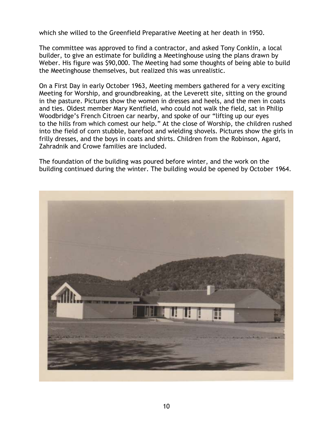which she willed to the Greenfield Preparative Meeting at her death in 1950.

The committee was approved to find a contractor, and asked Tony Conklin, a local builder, to give an estimate for building a Meetinghouse using the plans drawn by Weber. His figure was \$90,000. The Meeting had some thoughts of being able to build the Meetinghouse themselves, but realized this was unrealistic.

On a First Day in early October 1963, Meeting members gathered for a very exciting Meeting for Worship, and groundbreaking, at the Leverett site, sitting on the ground in the pasture. Pictures show the women in dresses and heels, and the men in coats and ties. Oldest member Mary Kentfield, who could not walk the field, sat in Philip Woodbridge's French Citroen car nearby, and spoke of our "lifting up our eyes to the hills from which comest our help." At the close of Worship, the children rushed into the field of corn stubble, barefoot and wielding shovels. Pictures show the girls in frilly dresses, and the boys in coats and shirts. Children from the Robinson, Agard, Zahradnik and Crowe families are included.

The foundation of the building was poured before winter, and the work on the building continued during the winter. The building would be opened by October 1964.

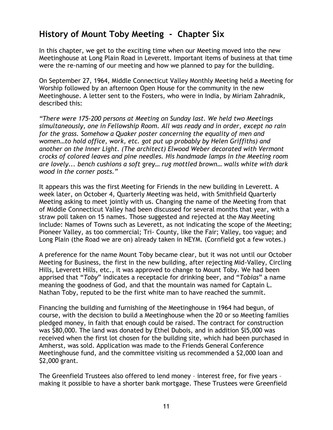## **History of Mount Toby Meeting - Chapter Six**

In this chapter, we get to the exciting time when our Meeting moved into the new Meetinghouse at Long Plain Road in Leverett. Important items of business at that time were the re-naming of our meeting and how we planned to pay for the building.

On September 27, 1964, Middle Connecticut Valley Monthly Meeting held a Meeting for Worship followed by an afternoon Open House for the community in the new Meetinghouse. A letter sent to the Fosters, who were in India, by Miriam Zahradnik, described this:

*"There were 175-200 persons at Meeting on Sunday last. We held two Meetings simultaneously, one in Fellowship Room. All was ready and in order, except no rain for the grass. Somehow a Quaker poster concerning the equality of men and women…to hold office, work, etc. got put up probably by Helen Griffiths) and another on the Inner Light. (The architect) Elwood Weber decorated with Vermont crocks of colored leaves and pine needles. His handmade lamps in the Meeting room are lovely... bench cushions a soft grey… rug mottled brown… walls white with dark wood in the corner posts."*

It appears this was the first Meeting for Friends in the new building in Leverett. A week later, on October 4, Quarterly Meeting was held, with Smithfield Quarterly Meeting asking to meet jointly with us. Changing the name of the Meeting from that of Middle Connecticut Valley had been discussed for several months that year, with a straw poll taken on 15 names. Those suggested and rejected at the May Meeting include: Names of Towns such as Leverett, as not indicating the scope of the Meeting; Pioneer Valley, as too commercial; Tri- County, like the Fair; Valley, too vague; and Long Plain (the Road we are on) already taken in NEYM. (Cornfield got a few votes.)

A preference for the name Mount Toby became clear, but it was not until our October Meeting for Business, the first in the new building, after rejecting Mid-Valley, Circling Hills, Leverett Hills, etc., it was approved to change to Mount Toby. We had been apprised that "*Toby*" indicates a receptacle for drinking beer, and "*Tobias*" a name meaning the goodness of God, and that the mountain was named for Captain L. Nathan Toby, reputed to be the first white man to have reached the summit.

Financing the building and furnishing of the Meetinghouse in 1964 had begun, of course, with the decision to build a Meetinghouse when the 20 or so Meeting families pledged money, in faith that enough could be raised. The contract for construction was \$80,000. The land was donated by Ethel Dubois, and in addition \$l5,000 was received when the first lot chosen for the building site, which had been purchased in Amherst, was sold. Application was made to the Friends General Conference Meetinghouse fund, and the committee visiting us recommended a \$2,000 loan and \$2,000 grant.

The Greenfield Trustees also offered to lend money – interest free, for five years – making it possible to have a shorter bank mortgage. These Trustees were Greenfield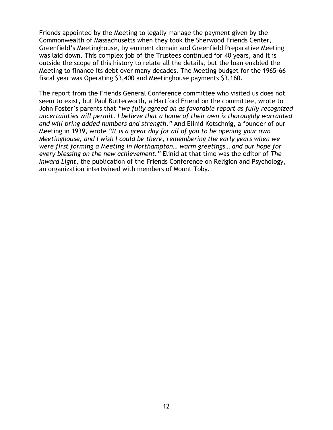Friends appointed by the Meeting to legally manage the payment given by the Commonwealth of Massachusetts when they took the Sherwood Friends Center, Greenfield's Meetinghouse, by eminent domain and Greenfield Preparative Meeting was laid down. This complex job of the Trustees continued for 40 years, and it is outside the scope of this history to relate all the details, but the loan enabled the Meeting to finance its debt over many decades. The Meeting budget for the 1965-66 fiscal year was Operating \$3,400 and Meetinghouse payments \$3,160.

The report from the Friends General Conference committee who visited us does not seem to exist, but Paul Butterworth, a Hartford Friend on the committee, wrote to John Foster's parents that *"we fully agreed on as favorable report as fully recognized uncertainties will permit. I believe that a home of their own is thoroughly warranted and will bring added numbers and strength."* And Elinid Kotschnig, a founder of our Meeting in 1939, wrote *"It is a great day for all of you to be opening your own Meetinghouse, and I wish I could be there, remembering the early years when we were first forming a Meeting in Northampton… warm greetings… and our hope for every blessing on the new achievement."* Elinid at that time was the editor of *The Inward Light*, the publication of the Friends Conference on Religion and Psychology, an organization intertwined with members of Mount Toby.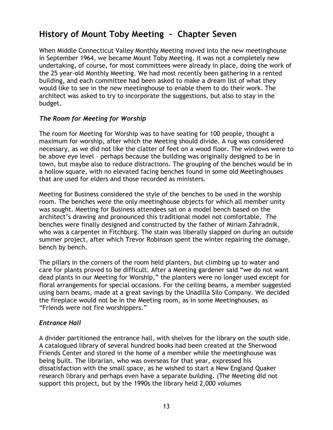# **History of Mount Toby Meeting - Chapter Seven**

When Middle Connecticut Valley Monthly Meeting moved into the new meetinghouse in September 1964, we became Mount Toby Meeting. It was not a completely new undertaking, of course, for most committees were already in place, doing the work of the 25 year-old Monthly Meeting. We had most recently been gathering in a rented building, and each committee had been asked to make a dream list of what they would like to see in the new meetinghouse to enable them to do their work. The architect was asked to try to incorporate the suggestions, but also to stay in the budget.

### *The Room for Meeting for Worship*

The room for Meeting for Worship was to have seating for 100 people, thought a maximum for worship, after which the Meeting should divide. A rug was considered necessary, as we did not like the clatter of feet on a wood floor. The windows were to be above eye level – perhaps because the building was originally designed to be in town, but maybe also to reduce distractions. The grouping of the benches would be in a hollow square, with no elevated facing benches found in some old Meetinghouses that are used for elders and those recorded as ministers.

Meeting for Business considered the style of the benches to be used in the worship room. The benches were the only meetinghouse objects for which all member unity was sought. Meeting for Business attendees sat on a model bench based on the architect's drawing and pronounced this traditional model not comfortable. The benches were finally designed and constructed by the father of Miriam Zahradnik, who was a carpenter in Fitchburg. The stain was liberally slapped on during an outside summer project, after which Trevor Robinson spent the winter repairing the damage, bench by bench.

The pillars in the corners of the room held planters, but climbing up to water and care for plants proved to be difficult. After a Meeting gardener said "we do not want dead plants in our Meeting for Worship," the planters were no longer used except for floral arrangements for special occasions. For the ceiling beams, a member suggested using barn beams, made at a great savings by the Unadilla Silo Company. We decided the fireplace would not be in the Meeting room, as in some Meetinghouses, as "Friends were not fire worshippers."

### *Entrance Hall*

A divider partitioned the entrance hall, with shelves for the library on the south side. A catalogued library of several hundred books had been created at the Sherwood Friends Center and stored in the home of a member while the meetinghouse was being built. The librarian, who was overseas for that year, expressed his dissatisfaction with the small space, as he wished to start a New England Quaker research library and perhaps even have a separate building. (The Meeting did not support this project, but by the 1990s the library held 2,000 volumes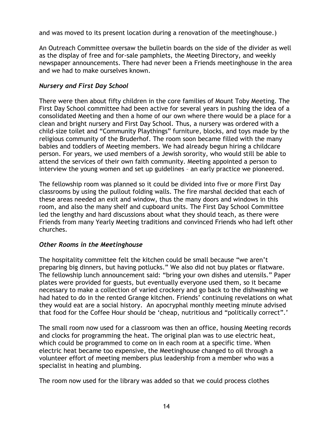and was moved to its present location during a renovation of the meetinghouse.)

An Outreach Committee oversaw the bulletin boards on the side of the divider as well as the display of free and for-sale pamphlets, the Meeting Directory, and weekly newspaper announcements. There had never been a Friends meetinghouse in the area and we had to make ourselves known.

### *Nursery and First Day School*

There were then about fifty children in the core families of Mount Toby Meeting. The First Day School committee had been active for several years in pushing the idea of a consolidated Meeting and then a home of our own where there would be a place for a clean and bright nursery and First Day School. Thus, a nursery was ordered with a child-size toilet and "Community Playthings" furniture, blocks, and toys made by the religious community of the Bruderhof. The room soon became filled with the many babies and toddlers of Meeting members. We had already begun hiring a childcare person. For years, we used members of a Jewish sorority, who would still be able to attend the services of their own faith community. Meeting appointed a person to interview the young women and set up guidelines – an early practice we pioneered.

The fellowship room was planned so it could be divided into five or more First Day classrooms by using the pullout folding walls. The fire marshal decided that each of these areas needed an exit and window, thus the many doors and windows in this room, and also the many shelf and cupboard units. The First Day School Committee led the lengthy and hard discussions about what they should teach, as there were Friends from many Yearly Meeting traditions and convinced Friends who had left other churches.

### *Other Rooms in the Meetinghouse*

The hospitality committee felt the kitchen could be small because "we aren't preparing big dinners, but having potlucks." We also did not buy plates or flatware. The fellowship lunch announcement said: "bring your own dishes and utensils." Paper plates were provided for guests, but eventually everyone used them, so it became necessary to make a collection of varied crockery and go back to the dishwashing we had hated to do in the rented Grange kitchen. Friends' continuing revelations on what they would eat are a social history. An apocryphal monthly meeting minute advised that food for the Coffee Hour should be 'cheap, nutritious and "politically correct".'

The small room now used for a classroom was then an office, housing Meeting records and clocks for programming the heat. The original plan was to use electric heat, which could be programmed to come on in each room at a specific time. When electric heat became too expensive, the Meetinghouse changed to oil through a volunteer effort of meeting members plus leadership from a member who was a specialist in heating and plumbing.

The room now used for the library was added so that we could process clothes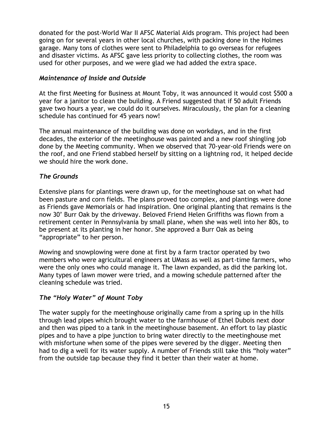donated for the post-World War II AFSC Material Aids program. This project had been going on for several years in other local churches, with packing done in the Holmes garage. Many tons of clothes were sent to Philadelphia to go overseas for refugees and disaster victims. As AFSC gave less priority to collecting clothes, the room was used for other purposes, and we were glad we had added the extra space.

#### *Maintenance of Inside and Outside*

At the first Meeting for Business at Mount Toby, it was announced it would cost \$500 a year for a janitor to clean the building. A Friend suggested that if 50 adult Friends gave two hours a year, we could do it ourselves. Miraculously, the plan for a cleaning schedule has continued for 45 years now!

The annual maintenance of the building was done on workdays, and in the first decades, the exterior of the meetinghouse was painted and a new roof shingling job done by the Meeting community. When we observed that 70-year-old Friends were on the roof, and one Friend stabbed herself by sitting on a lightning rod, it helped decide we should hire the work done.

### *The Grounds*

Extensive plans for plantings were drawn up, for the meetinghouse sat on what had been pasture and corn fields. The plans proved too complex, and plantings were done as Friends gave Memorials or had inspiration. One original planting that remains is the now 30' Burr Oak by the driveway. Beloved Friend Helen Griffiths was flown from a retirement center in Pennsylvania by small plane, when she was well into her 80s, to be present at its planting in her honor. She approved a Burr Oak as being "appropriate" to her person.

Mowing and snowplowing were done at first by a farm tractor operated by two members who were agricultural engineers at UMass as well as part-time farmers, who were the only ones who could manage it. The lawn expanded, as did the parking lot. Many types of lawn mower were tried, and a mowing schedule patterned after the cleaning schedule was tried.

### *The "Holy Water" of Mount Toby*

The water supply for the meetinghouse originally came from a spring up in the hills through lead pipes which brought water to the farmhouse of Ethel Dubois next door and then was piped to a tank in the meetinghouse basement. An effort to lay plastic pipes and to have a pipe junction to bring water directly to the meetinghouse met with misfortune when some of the pipes were severed by the digger. Meeting then had to dig a well for its water supply. A number of Friends still take this "holy water" from the outside tap because they find it better than their water at home.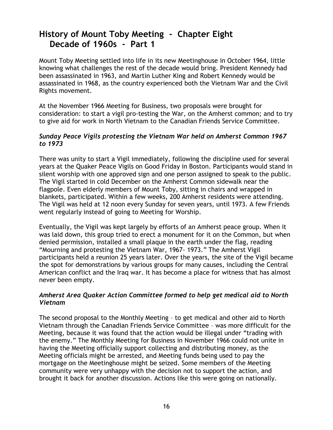## **History of Mount Toby Meeting - Chapter Eight Decade of 1960s - Part 1**

Mount Toby Meeting settled into life in its new Meetinghouse in October 1964, little knowing what challenges the rest of the decade would bring. President Kennedy had been assassinated in 1963, and Martin Luther King and Robert Kennedy would be assassinated in 1968, as the country experienced both the Vietnam War and the Civil Rights movement.

At the November 1966 Meeting for Business, two proposals were brought for consideration: to start a vigil pro-testing the War, on the Amherst common; and to try to give aid for work in North Vietnam to the Canadian Friends Service Committee.

### *Sunday Peace Vigils protesting the Vietnam War held on Amherst Common 1967 to 1973*

There was unity to start a Vigil immediately, following the discipline used for several years at the Quaker Peace Vigils on Good Friday in Boston. Participants would stand in silent worship with one approved sign and one person assigned to speak to the public. The Vigil started in cold December on the Amherst Common sidewalk near the flagpole. Even elderly members of Mount Toby, sitting in chairs and wrapped in blankets, participated. Within a few weeks, 200 Amherst residents were attending. The Vigil was held at 12 noon every Sunday for seven years, until 1973. A few Friends went regularly instead of going to Meeting for Worship.

Eventually, the Vigil was kept largely by efforts of an Amherst peace group. When it was laid down, this group tried to erect a monument for it on the Common, but when denied permission, installed a small plaque in the earth under the flag, reading "Mourning and protesting the Vietnam War, 1967- 1973." The Amherst Vigil participants held a reunion 25 years later. Over the years, the site of the Vigil became the spot for demonstrations by various groups for many causes, including the Central American conflict and the Iraq war. It has become a place for witness that has almost never been empty.

### *Amherst Area Quaker Action Committee formed to help get medical aid to North Vietnam*

The second proposal to the Monthly Meeting – to get medical and other aid to North Vietnam through the Canadian Friends Service Committee – was more difficult for the Meeting, because it was found that the action would be illegal under "trading with the enemy." The Monthly Meeting for Business in November 1966 could not unite in having the Meeting officially support collecting and distributing money, as the Meeting officials might be arrested, and Meeting funds being used to pay the mortgage on the Meetinghouse might be seized. Some members of the Meeting community were very unhappy with the decision not to support the action, and brought it back for another discussion. Actions like this were going on nationally.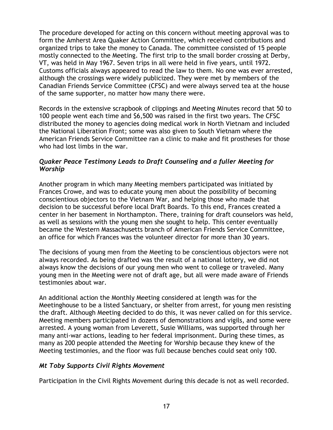The procedure developed for acting on this concern without meeting approval was to form the Amherst Area Quaker Action Committee, which received contributions and organized trips to take the money to Canada. The committee consisted of 15 people mostly connected to the Meeting. The first trip to the small border crossing at Derby, VT, was held in May 1967. Seven trips in all were held in five years, until 1972. Customs officials always appeared to read the law to them. No one was ever arrested, although the crossings were widely publicized. They were met by members of the Canadian Friends Service Committee (CFSC) and were always served tea at the house of the same supporter, no matter how many there were.

Records in the extensive scrapbook of clippings and Meeting Minutes record that 50 to 100 people went each time and \$6,500 was raised in the first two years. The CFSC distributed the money to agencies doing medical work in North Vietnam and included the National Liberation Front; some was also given to South Vietnam where the American Friends Service Committee ran a clinic to make and fit prostheses for those who had lost limbs in the war.

#### *Quaker Peace Testimony Leads to Draft Counseling and a fuller Meeting for Worship*

Another program in which many Meeting members participated was initiated by Frances Crowe, and was to educate young men about the possibility of becoming conscientious objectors to the Vietnam War, and helping those who made that decision to be successful before local Draft Boards. To this end, Frances created a center in her basement in Northampton. There, training for draft counselors was held, as well as sessions with the young men she sought to help. This center eventually became the Western Massachusetts branch of American Friends Service Committee, an office for which Frances was the volunteer director for more than 30 years.

The decisions of young men from the Meeting to be conscientious objectors were not always recorded. As being drafted was the result of a national lottery, we did not always know the decisions of our young men who went to college or traveled. Many young men in the Meeting were not of draft age, but all were made aware of Friends testimonies about war.

An additional action the Monthly Meeting considered at length was for the Meetinghouse to be a listed Sanctuary, or shelter from arrest, for young men resisting the draft. Although Meeting decided to do this, it was never called on for this service. Meeting members participated in dozens of demonstrations and vigils, and some were arrested. A young woman from Leverett, Susie Williams, was supported through her many anti-war actions, leading to her federal imprisonment. During these times, as many as 200 people attended the Meeting for Worship because they knew of the Meeting testimonies, and the floor was full because benches could seat only 100.

### *Mt Toby Supports Civil Rights Movement*

Participation in the Civil Rights Movement during this decade is not as well recorded.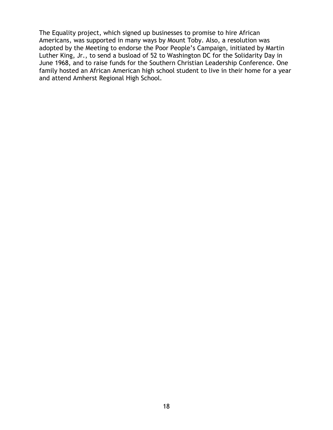The Equality project, which signed up businesses to promise to hire African Americans, was supported in many ways by Mount Toby. Also, a resolution was adopted by the Meeting to endorse the Poor People's Campaign, initiated by Martin Luther King, Jr., to send a busload of 52 to Washington DC for the Solidarity Day in June 1968, and to raise funds for the Southern Christian Leadership Conference. One family hosted an African American high school student to live in their home for a year and attend Amherst Regional High School.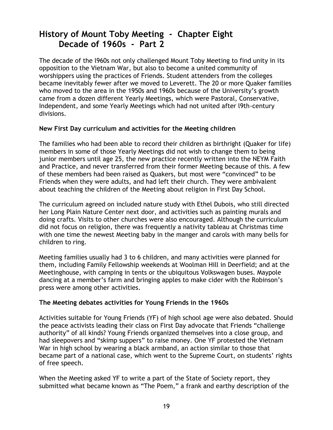# **History of Mount Toby Meeting - Chapter Eight Decade of 1960s - Part 2**

The decade of the l960s not only challenged Mount Toby Meeting to find unity in its opposition to the Vietnam War, but also to become a united community of worshippers using the practices of Friends. Student attenders from the colleges became inevitably fewer after we moved to Leverett. The 20 or more Quaker families who moved to the area in the 1950s and 1960s because of the University's growth came from a dozen different Yearly Meetings, which were Pastoral, Conservative, Independent, and some Yearly Meetings which had not united after l9th-century divisions.

#### **New First Day curriculum and activities for the Meeting children**

The families who had been able to record their children as birthright (Quaker for life) members in some of those Yearly Meetings did not wish to change them to being junior members until age 25, the new practice recently written into the NEYM Faith and Practice, and never transferred from their former Meeting because of this. A few of these members had been raised as Quakers, but most were "convinced" to be Friends when they were adults, and had left their church. They were ambivalent about teaching the children of the Meeting about religion in First Day School.

The curriculum agreed on included nature study with Ethel Dubois, who still directed her Long Plain Nature Center next door, and activities such as painting murals and doing crafts. Visits to other churches were also encouraged. Although the curriculum did not focus on religion, there was frequently a nativity tableau at Christmas time with one time the newest Meeting baby in the manger and carols with many bells for children to ring.

Meeting families usually had 3 to 6 children, and many activities were planned for them, including Family Fellowship weekends at Woolman Hill in Deerfield; and at the Meetinghouse, with camping in tents or the ubiquitous Volkswagen buses. Maypole dancing at a member's farm and bringing apples to make cider with the Robinson's press were among other activities.

### **The Meeting debates activities for Young Friends in the 1960s**

Activities suitable for Young Friends (YF) of high school age were also debated. Should the peace activists leading their class on First Day advocate that Friends "challenge authority" of all kinds? Young Friends organized themselves into a close group, and had sleepovers and "skimp suppers" to raise money. One YF protested the Vietnam War in high school by wearing a black armband, an action similar to those that became part of a national case, which went to the Supreme Court, on students' rights of free speech.

When the Meeting asked YF to write a part of the State of Society report, they submitted what became known as "The Poem," a frank and earthy description of the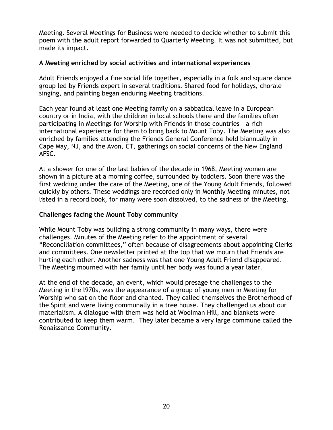Meeting. Several Meetings for Business were needed to decide whether to submit this poem with the adult report forwarded to Quarterly Meeting. It was not submitted, but made its impact.

#### **A Meeting enriched by social activities and international experiences**

Adult Friends enjoyed a fine social life together, especially in a folk and square dance group led by Friends expert in several traditions. Shared food for holidays, chorale singing, and painting began enduring Meeting traditions.

Each year found at least one Meeting family on a sabbatical leave in a European country or in India, with the children in local schools there and the families often participating in Meetings for Worship with Friends in those countries – a rich international experience for them to bring back to Mount Toby. The Meeting was also enriched by families attending the Friends General Conference held biannually in Cape May, NJ, and the Avon, CT, gatherings on social concerns of the New England AFSC.

At a shower for one of the last babies of the decade in 1968, Meeting women are shown in a picture at a morning coffee, surrounded by toddlers. Soon there was the first wedding under the care of the Meeting, one of the Young Adult Friends, followed quickly by others. These weddings are recorded only in Monthly Meeting minutes, not listed in a record book, for many were soon dissolved, to the sadness of the Meeting.

#### **Challenges facing the Mount Toby community**

While Mount Toby was building a strong community in many ways, there were challenges. Minutes of the Meeting refer to the appointment of several "Reconciliation committees," often because of disagreements about appointing Clerks and committees. One newsletter printed at the top that we mourn that Friends are hurting each other. Another sadness was that one Young Adult Friend disappeared. The Meeting mourned with her family until her body was found a year later.

At the end of the decade, an event, which would presage the challenges to the Meeting in the l970s, was the appearance of a group of young men in Meeting for Worship who sat on the floor and chanted. They called themselves the Brotherhood of the Spirit and were living communally in a tree house. They challenged us about our materialism. A dialogue with them was held at Woolman Hill, and blankets were contributed to keep them warm. They later became a very large commune called the Renaissance Community.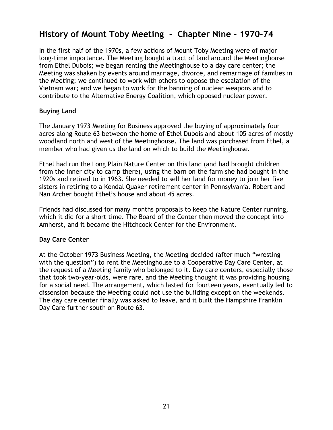### **History of Mount Toby Meeting - Chapter Nine – 1970-74**

In the first half of the 1970s, a few actions of Mount Toby Meeting were of major long-time importance. The Meeting bought a tract of land around the Meetinghouse from Ethel Dubois; we began renting the Meetinghouse to a day care center; the Meeting was shaken by events around marriage, divorce, and remarriage of families in the Meeting; we continued to work with others to oppose the escalation of the Vietnam war; and we began to work for the banning of nuclear weapons and to contribute to the Alternative Energy Coalition, which opposed nuclear power.

#### **Buying Land**

The January 1973 Meeting for Business approved the buying of approximately four acres along Route 63 between the home of Ethel Dubois and about 105 acres of mostly woodland north and west of the Meetinghouse. The land was purchased from Ethel, a member who had given us the land on which to build the Meetinghouse.

Ethel had run the Long Plain Nature Center on this land (and had brought children from the inner city to camp there), using the barn on the farm she had bought in the 1920s and retired to in 1963. She needed to sell her land for money to join her five sisters in retiring to a Kendal Quaker retirement center in Pennsylvania. Robert and Nan Archer bought Ethel's house and about 45 acres.

Friends had discussed for many months proposals to keep the Nature Center running, which it did for a short time. The Board of the Center then moved the concept into Amherst, and it became the Hitchcock Center for the Environment.

### **Day Care Center**

At the October 1973 Business Meeting, the Meeting decided (after much "wresting with the question") to rent the Meetinghouse to a Cooperative Day Care Center, at the request of a Meeting family who belonged to it. Day care centers, especially those that took two-year-olds, were rare, and the Meeting thought it was providing housing for a social need. The arrangement, which lasted for fourteen years, eventually led to dissension because the Meeting could not use the building except on the weekends. The day care center finally was asked to leave, and it built the Hampshire Franklin Day Care further south on Route 63.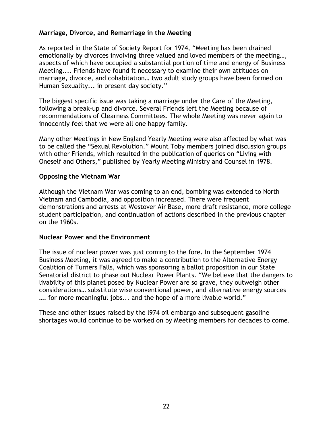#### **Marriage, Divorce, and Remarriage in the Meeting**

As reported in the State of Society Report for 1974, "Meeting has been drained emotionally by divorces involving three valued and loved members of the meeting…, aspects of which have occupied a substantial portion of time and energy of Business Meeting.... Friends have found it necessary to examine their own attitudes on marriage, divorce, and cohabitation… two adult study groups have been formed on Human Sexuality... in present day society."

The biggest specific issue was taking a marriage under the Care of the Meeting, following a break-up and divorce. Several Friends left the Meeting because of recommendations of Clearness Committees. The whole Meeting was never again to innocently feel that we were all one happy family.

Many other Meetings in New England Yearly Meeting were also affected by what was to be called the "Sexual Revolution." Mount Toby members joined discussion groups with other Friends, which resulted in the publication of queries on "Living with Oneself and Others," published by Yearly Meeting Ministry and Counsel in 1978.

#### **Opposing the Vietnam War**

Although the Vietnam War was coming to an end, bombing was extended to North Vietnam and Cambodia, and opposition increased. There were frequent demonstrations and arrests at Westover Air Base, more draft resistance, more college student participation, and continuation of actions described in the previous chapter on the 1960s.

#### **Nuclear Power and the Environment**

The issue of nuclear power was just coming to the fore. In the September 1974 Business Meeting, it was agreed to make a contribution to the Alternative Energy Coalition of Turners Falls, which was sponsoring a ballot proposition in our State Senatorial district to phase out Nuclear Power Plants. "We believe that the dangers to livability of this planet posed by Nuclear Power are so grave, they outweigh other considerations… substitute wise conventional power, and alternative energy sources …. for more meaningful jobs... and the hope of a more livable world."

These and other issues raised by the l974 oil embargo and subsequent gasoline shortages would continue to be worked on by Meeting members for decades to come.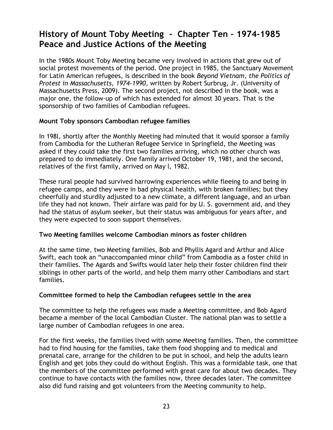# **History of Mount Toby Meeting - Chapter Ten – 1974-1985 Peace and Justice Actions of the Meeting**

In the 1980s Mount Toby Meeting became very involved in actions that grew out of social protest movements of the period. One project in 1985, the Sanctuary Movement for Latin American refugees, is described in the book *Beyond Vietnam, the Politics of Protest in Massachusetts, 1974-1990*, written by Robert Surbrug, Jr. (University of Massachusetts Press, 2009). The second project, not described in the book, was a major one, the follow-up of which has extended for almost 30 years. That is the sponsorship of two families of Cambodian refugees.

#### **Mount Toby sponsors Cambodian refugee families**

In 198l, shortly after the Monthly Meeting had minuted that it would sponsor a family from Cambodia for the Lutheran Refugee Service in Springfield, the Meeting was asked if they could take the first two families arriving, which no other church was prepared to do immediately. One family arrived October 19, 1981, and the second, relatives of the first family, arrived on May l, 1982.

These rural people had survived harrowing experiences while fleeing to and being in refugee camps, and they were in bad physical health, with broken families; but they cheerfully and sturdily adjusted to a new climate, a different language, and an urban life they had not known. Their airfare was paid for by U. S. government aid, and they had the status of asylum seeker, but their status was ambiguous for years after, and they were expected to soon support themselves.

#### **Two Meeting families welcome Cambodian minors as foster children**

At the same time, two Meeting families, Bob and Phyllis Agard and Arthur and Alice Swift, each took an "unaccompanied minor child" from Cambodia as a foster child in their families. The Agards and Swifts would later help their foster children find their siblings in other parts of the world, and help them marry other Cambodians and start families.

### **Committee formed to help the Cambodian refugees settle in the area**

The committee to help the refugees was made a Meeting committee, and Bob Agard became a member of the local Cambodian Cluster. The national plan was to settle a large number of Cambodian refugees in one area.

For the first weeks, the families lived with some Meeting families. Then, the committee had to find housing for the families, take them food shopping and to medical and prenatal care, arrange for the children to be put in school, and help the adults learn English and get jobs they could do without English. This was a formidable task, one that the members of the committee performed with great care for about two decades. They continue to have contacts with the families now, three decades later. The committee also did fund raising and got volunteers from the Meeting community to help.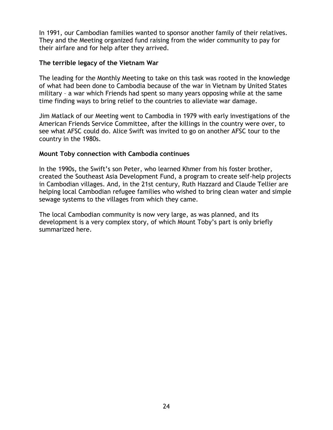In 1991, our Cambodian families wanted to sponsor another family of their relatives. They and the Meeting organized fund raising from the wider community to pay for their airfare and for help after they arrived.

#### **The terrible legacy of the Vietnam War**

The leading for the Monthly Meeting to take on this task was rooted in the knowledge of what had been done to Cambodia because of the war in Vietnam by United States military – a war which Friends had spent so many years opposing while at the same time finding ways to bring relief to the countries to alleviate war damage.

Jim Matlack of our Meeting went to Cambodia in 1979 with early investigations of the American Friends Service Committee, after the killings in the country were over, to see what AFSC could do. Alice Swift was invited to go on another AFSC tour to the country in the 1980s.

#### **Mount Toby connection with Cambodia continues**

In the 1990s, the Swift's son Peter, who learned Khmer from his foster brother, created the Southeast Asia Development Fund, a program to create self-help projects in Cambodian villages. And, in the 21st century, Ruth Hazzard and Claude Tellier are helping local Cambodian refugee families who wished to bring clean water and simple sewage systems to the villages from which they came.

The local Cambodian community is now very large, as was planned, and its development is a very complex story, of which Mount Toby's part is only briefly summarized here.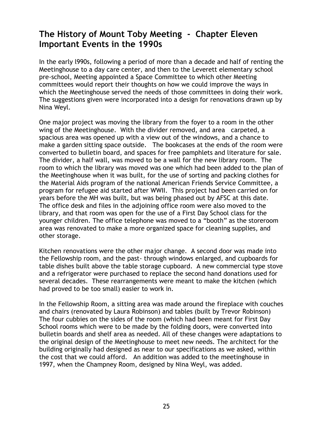## **The History of Mount Toby Meeting - Chapter Eleven Important Events in the 1990s**

In the early l990s, following a period of more than a decade and half of renting the Meetinghouse to a day care center, and then to the Leverett elementary school pre-school, Meeting appointed a Space Committee to which other Meeting committees would report their thoughts on how we could improve the ways in which the Meetinghouse served the needs of those committees in doing their work. The suggestions given were incorporated into a design for renovations drawn up by Nina Weyl.

One major project was moving the library from the foyer to a room in the other wing of the Meetinghouse. With the divider removed, and area carpeted, a spacious area was opened up with a view out of the windows, and a chance to make a garden sitting space outside. The bookcases at the ends of the room were converted to bulletin board, and spaces for free pamphlets and literature for sale. The divider, a half wall, was moved to be a wall for the new library room. The room to which the library was moved was one which had been added to the plan of the Meetinghouse when it was built, for the use of sorting and packing clothes for the Material Aids program of the national American Friends Service Committee, a program for refugee aid started after WWII. This project had been carried on for years before the MH was built, but was being phased out by AFSC at this date. The office desk and files in the adjoining office room were also moved to the library, and that room was open for the use of a First Day School class for the younger children. The office telephone was moved to a "booth" as the storeroom area was renovated to make a more organized space for cleaning supplies, and other storage.

Kitchen renovations were the other major change. A second door was made into the Fellowship room, and the past- through windows enlarged, and cupboards for table dishes built above the table storage cupboard. A new commercial type stove and a refrigerator were purchased to replace the second hand donations used for several decades. These rearrangements were meant to make the kitchen (which had proved to be too small) easier to work in.

In the Fellowship Room, a sitting area was made around the fireplace with couches and chairs (renovated by Laura Robinson) and tables (built by Trevor Robinson) The four cubbies on the sides of the room (which had been meant for First Day School rooms which were to be made by the folding doors, were converted into bulletin boards and shelf area as needed. All of these changes were adaptations to the original design of the Meetinghouse to meet new needs. The architect for the building originally had designed as near to our specifications as we asked, within the cost that we could afford. An addition was added to the meetinghouse in 1997, when the Champney Room, designed by Nina Weyl, was added.